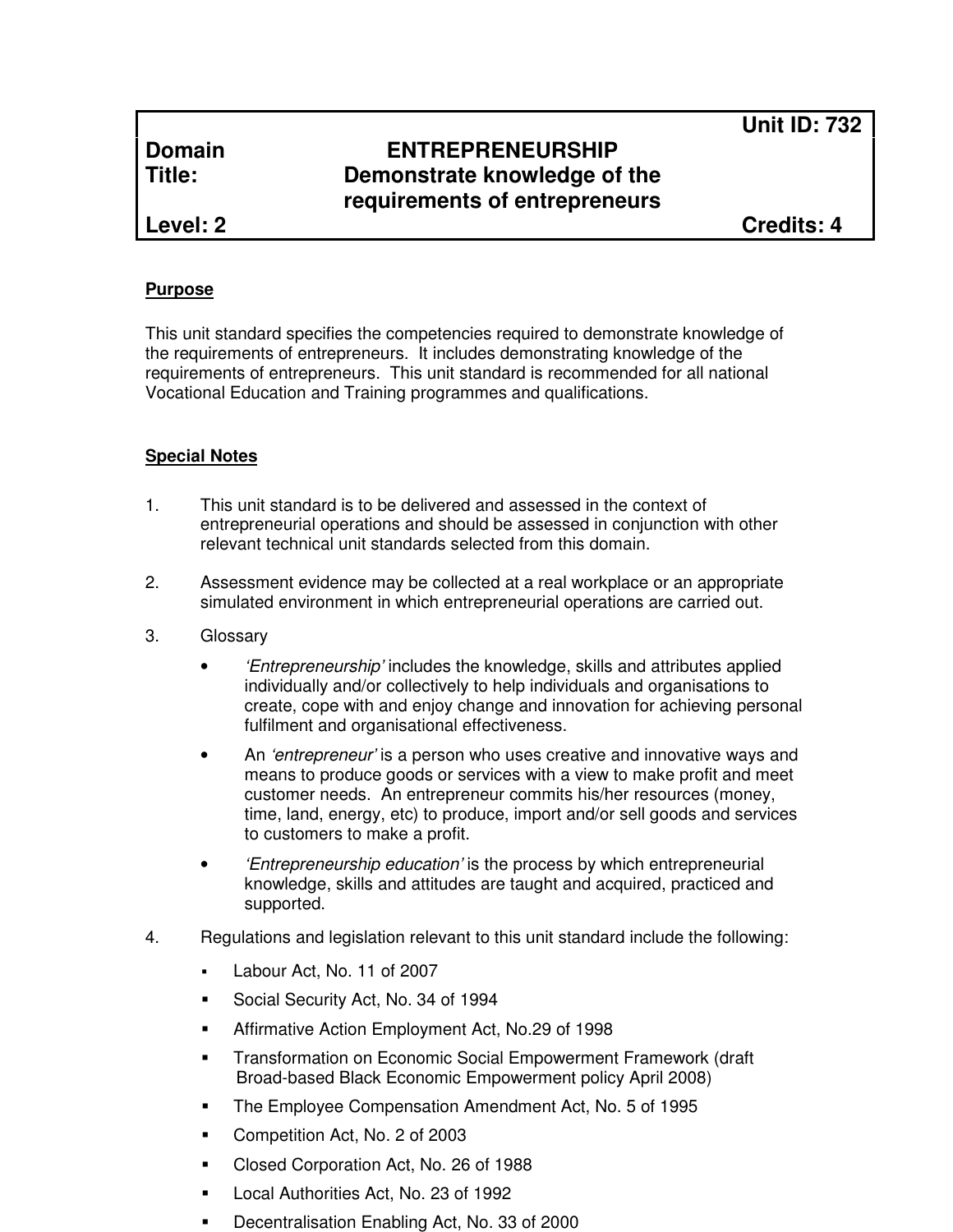**Unit ID: 732**

# **Domain ENTREPRENEURSHIP Title: Demonstrate knowledge of the requirements of entrepreneurs**

**Level: 2 Credits: 4**

#### **Purpose**

This unit standard specifies the competencies required to demonstrate knowledge of the requirements of entrepreneurs. It includes demonstrating knowledge of the requirements of entrepreneurs. This unit standard is recommended for all national Vocational Education and Training programmes and qualifications.

### **Special Notes**

- 1. This unit standard is to be delivered and assessed in the context of entrepreneurial operations and should be assessed in conjunction with other relevant technical unit standards selected from this domain.
- 2. Assessment evidence may be collected at a real workplace or an appropriate simulated environment in which entrepreneurial operations are carried out.
- 3. Glossary
	- *'Entrepreneurship'* includes the knowledge, skills and attributes applied individually and/or collectively to help individuals and organisations to create, cope with and enjoy change and innovation for achieving personal fulfilment and organisational effectiveness.
	- An 'entrepreneur' is a person who uses creative and innovative ways and means to produce goods or services with a view to make profit and meet customer needs. An entrepreneur commits his/her resources (money, time, land, energy, etc) to produce, import and/or sell goods and services to customers to make a profit.
	- 'Entrepreneurship education' is the process by which entrepreneurial knowledge, skills and attitudes are taught and acquired, practiced and supported.
- 4. Regulations and legislation relevant to this unit standard include the following:
	- Labour Act, No. 11 of 2007
	- **Social Security Act, No. 34 of 1994**
	- **EXECT:** Affirmative Action Employment Act, No.29 of 1998
	- Transformation on Economic Social Empowerment Framework (draft Broad-based Black Economic Empowerment policy April 2008)
	- **The Employee Compensation Amendment Act, No. 5 of 1995**
	- **Competition Act, No. 2 of 2003**
	- Closed Corporation Act, No. 26 of 1988
	- Local Authorities Act, No. 23 of 1992
	- Decentralisation Enabling Act, No. 33 of 2000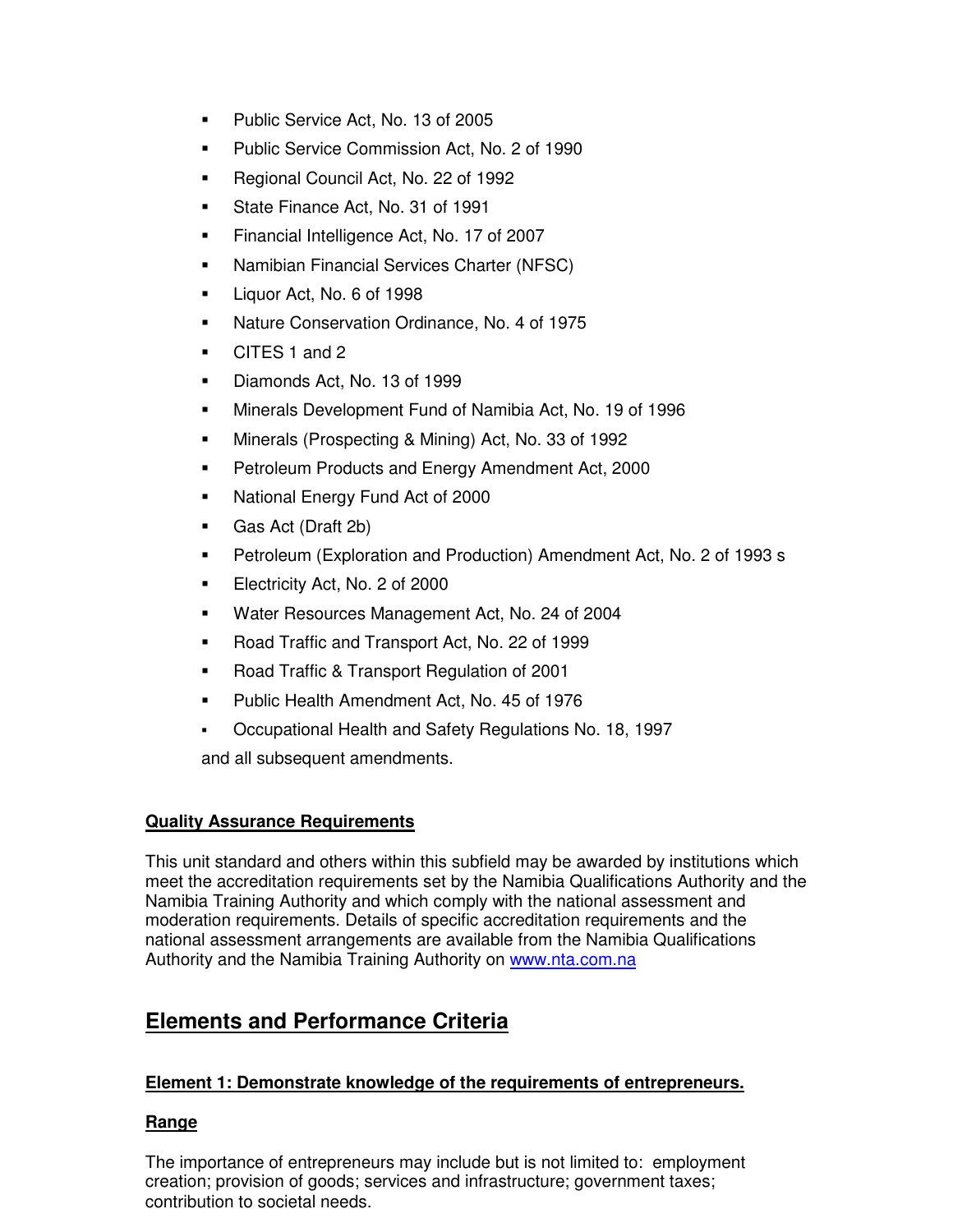- **Public Service Act, No. 13 of 2005**
- **Public Service Commission Act, No. 2 of 1990**
- Regional Council Act, No. 22 of 1992
- State Finance Act, No. 31 of 1991
- **Financial Intelligence Act, No. 17 of 2007**
- **Namibian Financial Services Charter (NFSC)**
- Liquor Act, No. 6 of 1998
- Nature Conservation Ordinance, No. 4 of 1975
- CITES 1 and 2
- Diamonds Act, No. 13 of 1999
- Minerals Development Fund of Namibia Act, No. 19 of 1996
- Minerals (Prospecting & Mining) Act, No. 33 of 1992
- Petroleum Products and Energy Amendment Act, 2000
- National Energy Fund Act of 2000
- Gas Act (Draft 2b)
- **Petroleum (Exploration and Production) Amendment Act, No. 2 of 1993 s**
- **Electricity Act, No. 2 of 2000**
- Water Resources Management Act, No. 24 of 2004
- Road Traffic and Transport Act, No. 22 of 1999
- Road Traffic & Transport Regulation of 2001
- **Public Health Amendment Act, No. 45 of 1976**
- Occupational Health and Safety Regulations No. 18, 1997

and all subsequent amendments.

### **Quality Assurance Requirements**

This unit standard and others within this subfield may be awarded by institutions which meet the accreditation requirements set by the Namibia Qualifications Authority and the Namibia Training Authority and which comply with the national assessment and moderation requirements. Details of specific accreditation requirements and the national assessment arrangements are available from the Namibia Qualifications Authority and the Namibia Training Authority on www.nta.com.na

# **Elements and Performance Criteria**

### **Element 1: Demonstrate knowledge of the requirements of entrepreneurs.**

### **Range**

The importance of entrepreneurs may include but is not limited to: employment creation; provision of goods; services and infrastructure; government taxes; contribution to societal needs.